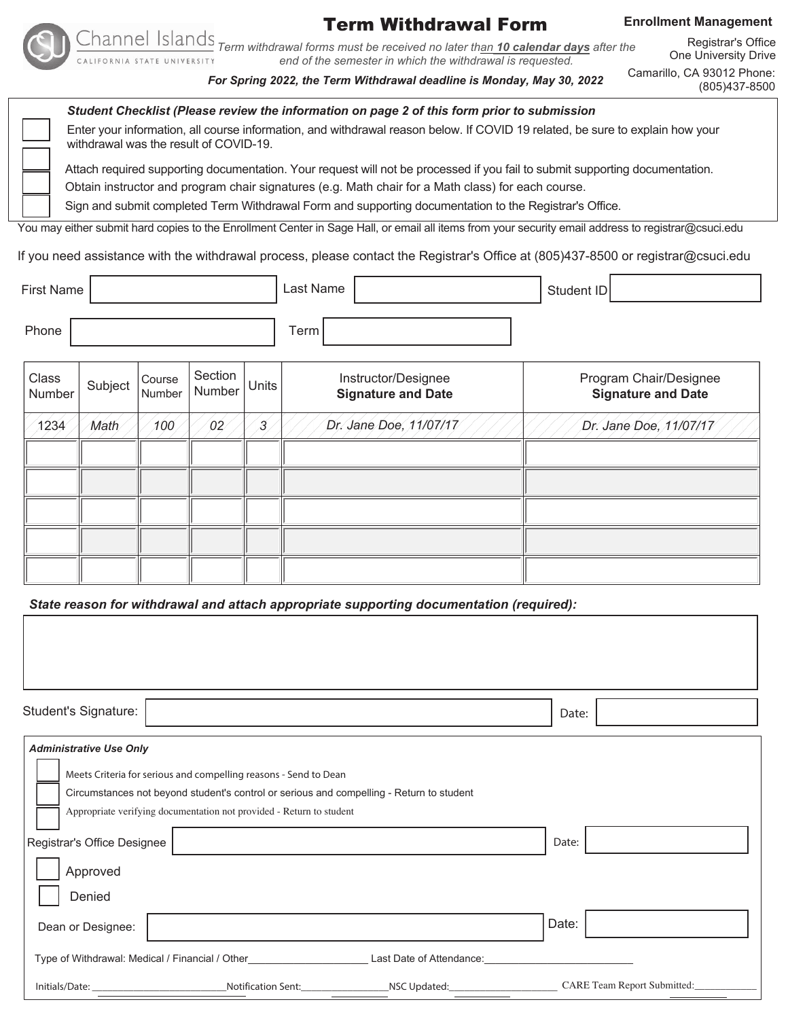

# Term Withdrawal Form

# **Enrollment Management**

*Term withdrawal forms must be received no later than 10 calendar days after the end of the semester in which the withdrawal is requested.* UNIVERSITY

*For Spring 2022, the Term Withdrawal deadline is Monday, May 30, 2022*

Registrar's Office One University Drive Camarillo, CA 93012 Phone:

(805)437-8500

| Student Checklist (Please review the information on page 2 of this form prior to submission                                                                             |
|-------------------------------------------------------------------------------------------------------------------------------------------------------------------------|
| Enter your information, all course information, and withdrawal reason below. If COVID 19 related, be sure to explain how your<br>withdrawal was the result of COVID-19. |
| Attach required supporting documentation. Your request will not be processed if you fail to submit supporting documentation.                                            |

Obtain instructor and program chair signatures (e.g. Math chair for a Math class) for each course.

Sign and submit completed Term Withdrawal Form and supporting documentation to the Registrar's Office.

You may either submit hard copies to the Enrollment Center in Sage Hall, or email all items from your security email address to registrar@csuci.edu

If you need assistance with the withdrawal process, please contact the Registrar's Office at (805)437-8500 or registrar@csuci.edu

| First Name      |         |                  |                   |                | Last Name                                        | Student ID                                          |
|-----------------|---------|------------------|-------------------|----------------|--------------------------------------------------|-----------------------------------------------------|
| Phone           |         |                  |                   |                | Term                                             |                                                     |
| Class<br>Number | Subject | Course<br>Number | Section<br>Number | Units          | Instructor/Designee<br><b>Signature and Date</b> | Program Chair/Designee<br><b>Signature and Date</b> |
| 1234            | Math    | 100              | 02                | $\overline{3}$ | Dr. Jane Doe, 11/07/17                           | Dr. Jane Doe, 11/07/17                              |
|                 |         |                  |                   |                |                                                  |                                                     |
|                 |         |                  |                   |                |                                                  |                                                     |

*State reason for withdrawal and attach appropriate supporting documentation (required):*

| Student's Signature:                                                                                              |                                                                                          |                                 | Date:                       |  |  |  |  |  |  |  |
|-------------------------------------------------------------------------------------------------------------------|------------------------------------------------------------------------------------------|---------------------------------|-----------------------------|--|--|--|--|--|--|--|
| <b>Administrative Use Only</b>                                                                                    |                                                                                          |                                 |                             |  |  |  |  |  |  |  |
|                                                                                                                   | Meets Criteria for serious and compelling reasons - Send to Dean                         |                                 |                             |  |  |  |  |  |  |  |
|                                                                                                                   | Circumstances not beyond student's control or serious and compelling - Return to student |                                 |                             |  |  |  |  |  |  |  |
|                                                                                                                   | Appropriate verifying documentation not provided - Return to student                     |                                 |                             |  |  |  |  |  |  |  |
| Registrar's Office Designee                                                                                       |                                                                                          | Date:                           |                             |  |  |  |  |  |  |  |
| Approved                                                                                                          |                                                                                          |                                 |                             |  |  |  |  |  |  |  |
| Denied                                                                                                            |                                                                                          |                                 |                             |  |  |  |  |  |  |  |
| Dean or Designee:                                                                                                 |                                                                                          |                                 | Date:                       |  |  |  |  |  |  |  |
| Type of Withdrawal: Medical / Financial / Other <b>Network Communist Control Control</b> Last Date of Attendance: |                                                                                          |                                 |                             |  |  |  |  |  |  |  |
|                                                                                                                   |                                                                                          | Notification Sent: NSC Updated: | CARE Team Report Submitted: |  |  |  |  |  |  |  |